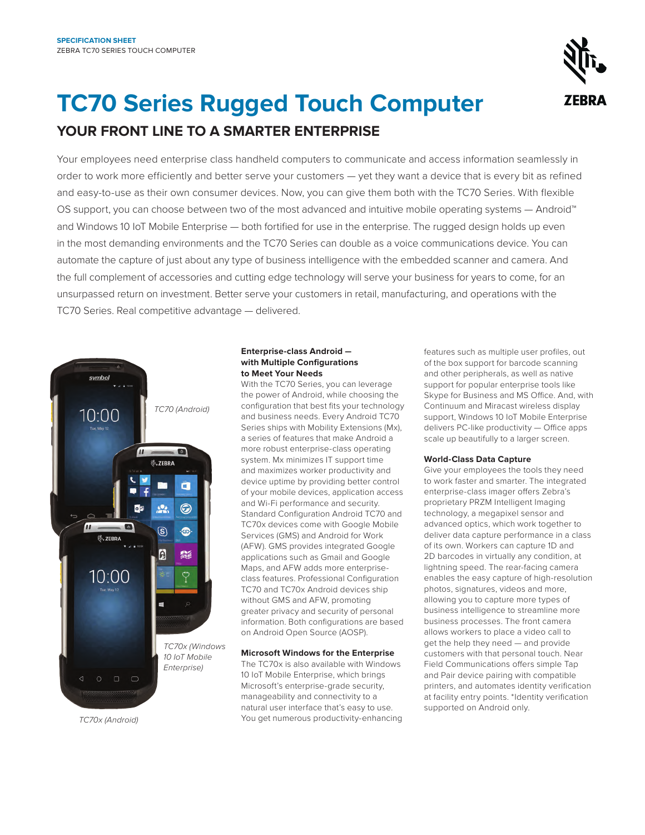

# **TC70 Series Rugged Touch Computer YOUR FRONT LINE TO A SMARTER ENTERPRISE**

Your employees need enterprise class handheld computers to communicate and access information seamlessly in order to work more efficiently and better serve your customers — yet they want a device that is every bit as refined and easy-to-use as their own consumer devices. Now, you can give them both with the TC70 Series. With flexible OS support, you can choose between two of the most advanced and intuitive mobile operating systems — Android™ and Windows 10 IoT Mobile Enterprise — both fortified for use in the enterprise. The rugged design holds up even in the most demanding environments and the TC70 Series can double as a voice communications device. You can automate the capture of just about any type of business intelligence with the embedded scanner and camera. And the full complement of accessories and cutting edge technology will serve your business for years to come, for an unsurpassed return on investment. Better serve your customers in retail, manufacturing, and operations with the TC70 Series. Real competitive advantage — delivered.



*TC70x (Android)*

# **Enterprise-class Android with Multiple Configurations to Meet Your Needs**

With the TC70 Series, you can leverage the power of Android, while choosing the configuration that best fits your technology and business needs. Every Android TC70 Series ships with Mobility Extensions (Mx), a series of features that make Android a more robust enterprise-class operating system. Mx minimizes IT support time and maximizes worker productivity and device uptime by providing better control of your mobile devices, application access and Wi-Fi performance and security. Standard Configuration Android TC70 and TC70x devices come with Google Mobile Services (GMS) and Android for Work (AFW). GMS provides integrated Google applications such as Gmail and Google Maps, and AFW adds more enterpriseclass features. Professional Configuration TC70 and TC70x Android devices ship without GMS and AFW, promoting greater privacy and security of personal information. Both configurations are based on Android Open Source (AOSP).

## **Microsoft Windows for the Enterprise**

The TC70x is also available with Windows 10 IoT Mobile Enterprise, which brings Microsoft's enterprise-grade security, manageability and connectivity to a natural user interface that's easy to use. You get numerous productivity-enhancing features such as multiple user profiles, out of the box support for barcode scanning and other peripherals, as well as native support for popular enterprise tools like Skype for Business and MS Office. And, with Continuum and Miracast wireless display support, Windows 10 IoT Mobile Enterprise delivers PC-like productivity — Office apps scale up beautifully to a larger screen.

## **World-Class Data Capture**

Give your employees the tools they need to work faster and smarter. The integrated enterprise-class imager offers Zebra's proprietary PRZM Intelligent Imaging technology, a megapixel sensor and advanced optics, which work together to deliver data capture performance in a class of its own. Workers can capture 1D and 2D barcodes in virtually any condition, at lightning speed. The rear-facing camera enables the easy capture of high-resolution photos, signatures, videos and more, allowing you to capture more types of business intelligence to streamline more business processes. The front camera allows workers to place a video call to get the help they need — and provide customers with that personal touch. Near Field Communications offers simple Tap and Pair device pairing with compatible printers, and automates identity verification at facility entry points. \*Identity verification supported on Android only.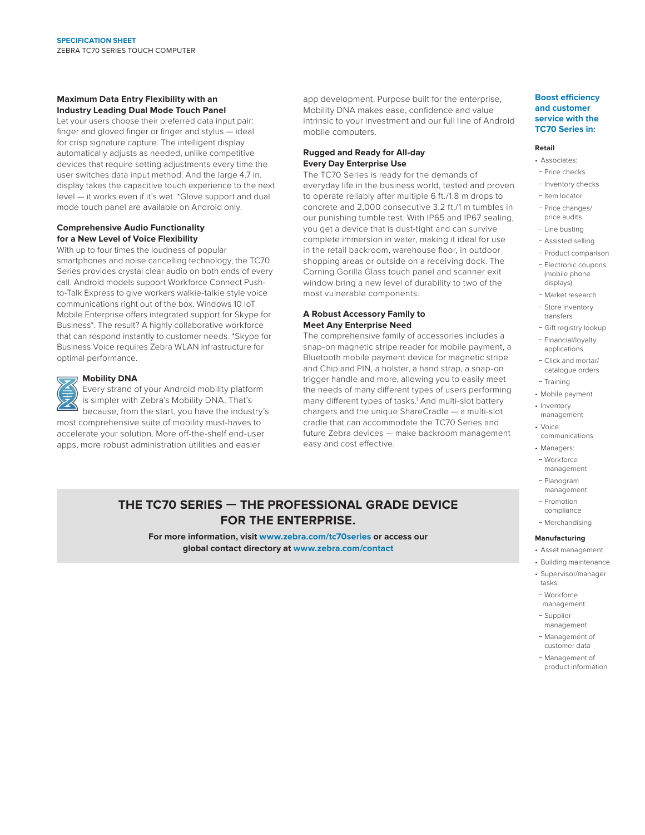#### **Maximum Data Entry Flexibility with an Industry Leading Dual Mode Touch Panel**

Let your users choose their preferred data input pair: finger and gloved finger or finger and stylus — ideal for crisp signature capture. The intelligent display automatically adjusts as needed, unlike competitive devices that require setting adjustments every time the user switches data input method. And the large 4.7 in. display takes the capacitive touch experience to the next level — it works even if it's wet. \*Glove support and dual mode touch panel are available on Android only.

### **Comprehensive Audio Functionality for a New Level of Voice Flexibility**

With up to four times the loudness of popular smartphones and noise cancelling technology, the TC70 Series provides crystal clear audio on both ends of every call. Android models support Workforce Connect Pushto-Talk Express to give workers walkie-talkie style voice communications right out of the box. Windows 10 IoT Mobile Enterprise offers integrated support for Skype for Business\*. The result? A highly collaborative workforce that can respond instantly to customer needs. \*Skype for Business Voice requires Zebra WLAN infrastructure for optimal performance.



# **Mobility DNA**

Every strand of your Android mobility platform is simpler with Zebra's Mobility DNA. That's because, from the start, you have the industry's

most comprehensive suite of mobility must-haves to accelerate your solution. More off-the-shelf end-user apps, more robust administration utilities and easier

app development. Purpose built for the enterprise, Mobility DNA makes ease, confidence and value intrinsic to your investment and our full line of Android mobile computers.

### **Rugged and Ready for All-day Every Day Enterprise Use**

The TC70 Series is ready for the demands of everyday life in the business world, tested and proven to operate reliably after multiple 6 ft./1.8 m drops to concrete and 2,000 consecutive 3.2 ft./1 m tumbles in our punishing tumble test. With IP65 and IP67 sealing, you get a device that is dust-tight and can survive complete immersion in water, making it ideal for use in the retail backroom, warehouse floor, in outdoor shopping areas or outside on a receiving dock. The Corning Gorilla Glass touch panel and scanner exit window bring a new level of durability to two of the most vulnerable components.

# **A Robust Accessory Family to Meet Any Enterprise Need**

The comprehensive family of accessories includes a snap-on magnetic stripe reader for mobile payment, a Bluetooth mobile payment device for magnetic stripe and Chip and PIN, a holster, a hand strap, a snap-on trigger handle and more, allowing you to easily meet the needs of many different types of users performing many different types of tasks.<sup>1</sup> And multi-slot battery chargers and the unique ShareCradle — a multi-slot cradle that can accommodate the TC70 Series and future Zebra devices — make backroom management easy and cost effective.

# **THE TC70 SERIES — THE PROFESSIONAL GRADE DEVICE FOR THE ENTERPRISE.**

**For more information, visit [www.zebra.com/](http://www.zebra.com/tc75series)tc70series or access our global contact directory at [www.zebra.com/contact](http://www.zebra.com/contact)**

#### **Boost efficiency and customer service with the TC70 Series in:**

#### **Retail**

- Associates:
- − Price checks − Inventory checks
- − Item locator
- − Price changes/ price audits
- − Line busting
- − Assisted selling
- − Product comparison − Electronic coupons
- (mobile phone displays)
- − Market research
- − Store inventory transfers
- − Gift registry lookup
- − Financial/loyalty applications
- − Click and mortar/ catalogue orders − Training
- 
- Mobile payment • Inventory
- management
- Voice
- communications
- Managers: − Workforce management
- − Planogram management
- − Promotion compliance
- − Merchandising

#### **Manufacturing**

- Asset management
- Building maintenance
- Supervisor/manager tasks:
- − Workforce management
- − Supplier management
- − Management of customer data
- − Management of product information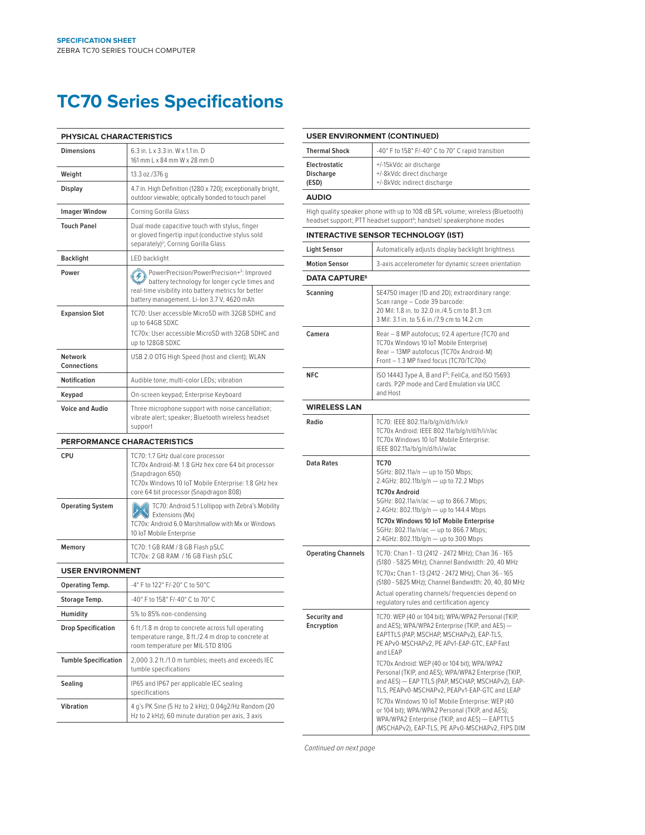# **TC70 Series Specifications**

| PHYSICAL CHARACTERISTICS           |                                                                                                                                                                                                              |  |
|------------------------------------|--------------------------------------------------------------------------------------------------------------------------------------------------------------------------------------------------------------|--|
| <b>Dimensions</b>                  | 6.3 in. L x 3.3 in. W x 1.1 in. D<br>161 mm L x 84 mm W x 28 mm D                                                                                                                                            |  |
| Weight                             | 13.3 oz./376 g                                                                                                                                                                                               |  |
| Display                            | 4.7 in. High Definition (1280 x 720); exceptionally bright,<br>outdoor viewable; optically bonded to touch panel                                                                                             |  |
| <b>Imager Window</b>               | Corning Gorilla Glass                                                                                                                                                                                        |  |
| <b>Touch Panel</b>                 | Dual mode capacitive touch with stylus, finger<br>or gloved fingertip input (conductive stylus sold<br>separately) <sup>2</sup> ; Corning Gorilla Glass                                                      |  |
| <b>Backlight</b>                   | LED backlight                                                                                                                                                                                                |  |
| Power                              | PowerPrecision/PowerPrecision+3: Improved<br>battery technology for longer cycle times and<br>real-time visibility into battery metrics for better<br>battery management. Li-Ion 3.7 V, 4620 mAh             |  |
| <b>Expansion Slot</b>              | TC70: User accessible MicroSD with 32GB SDHC and<br>up to 64GB SDXC<br>TC70x: User accessible MicroSD with 32GB SDHC and<br>up to 128GB SDXC                                                                 |  |
| Network<br>Connections             | USB 2.0 OTG High Speed (host and client); WLAN                                                                                                                                                               |  |
| <b>Notification</b>                | Audible tone; multi-color LEDs; vibration                                                                                                                                                                    |  |
| Keypad                             | On-screen keypad; Enterprise Keyboard                                                                                                                                                                        |  |
| <b>Voice and Audio</b>             | Three microphone support with noise cancellation;<br>vibrate alert; speaker; Bluetooth wireless headset<br>support                                                                                           |  |
| <b>PERFORMANCE CHARACTERISTICS</b> |                                                                                                                                                                                                              |  |
| <b>CPU</b>                         | TC70: 1.7 GHz dual core processor<br>TC70x Android-M: 1.8 GHz hex core 64 bit processor<br>(Snapdragon 650)<br>TC70x Windows 10 IoT Mobile Enterprise: 1.8 GHz hex<br>core 64 bit processor (Snapdragon 808) |  |
| <b>Operating System</b>            | TC70: Android 5.1 Lollipop with Zebra's Mobility<br>Extensions (Mx)<br>TC70x: Android 6.0 Marshmallow with Mx or Windows<br>10 IoT Mobile Enterprise                                                         |  |
| Memory                             | TC70: 1 GB RAM / 8 GB Flash pSLC<br>TC70x: 2 GB RAM / 16 GB Flash pSLC                                                                                                                                       |  |
| <b>USER ENVIRONMENT</b>            |                                                                                                                                                                                                              |  |
| Operating Temp.                    | -4° F to 122° F/-20° C to 50°C                                                                                                                                                                               |  |
| <b>Storage Temp.</b>               | 40° F to 158° F/-40° C to 70° C                                                                                                                                                                              |  |
| Humidity                           | 5% to 85% non-condensing                                                                                                                                                                                     |  |
| <b>Drop Specification</b>          | 6 ft./1.8 m drop to concrete across full operating<br>temperature range, 8 ft./2.4 m drop to concrete at<br>room temperature per MIL-STD 810G                                                                |  |
| <b>Tumble Specification</b>        | 2,000 3.2 ft./1.0 m tumbles; meets and exceeds IEC<br>tumble specifications                                                                                                                                  |  |
| Sealing                            | IP65 and IP67 per applicable IEC sealing<br>specifications                                                                                                                                                   |  |
| Vibration                          | 4 g's PK Sine (5 Hz to 2 kHz); 0.04g2/Hz Random (20<br>Hz to 2 kHz); 60 minute duration per axis, 3 axis                                                                                                     |  |

| <b>USER ENVIRONMENT (CONTINUED)</b>                                                                                                                              |                                                                                                                                                                                                                                                                                                                                                                                                                                                                                                                                                                                                                                        |  |
|------------------------------------------------------------------------------------------------------------------------------------------------------------------|----------------------------------------------------------------------------------------------------------------------------------------------------------------------------------------------------------------------------------------------------------------------------------------------------------------------------------------------------------------------------------------------------------------------------------------------------------------------------------------------------------------------------------------------------------------------------------------------------------------------------------------|--|
| <b>Thermal Shock</b>                                                                                                                                             | -40° F to 158° F/-40° C to 70° C rapid transition                                                                                                                                                                                                                                                                                                                                                                                                                                                                                                                                                                                      |  |
| Electrostatic<br><b>Discharge</b><br>(ESD)                                                                                                                       | +/-15kVdc air discharge<br>+/-8kVdc direct discharge<br>+/-8kVdc indirect discharge                                                                                                                                                                                                                                                                                                                                                                                                                                                                                                                                                    |  |
| <b>AUDIO</b>                                                                                                                                                     |                                                                                                                                                                                                                                                                                                                                                                                                                                                                                                                                                                                                                                        |  |
| High quality speaker phone with up to 108 dB SPL volume; wireless (Bluetooth)<br>headset support; PTT headset support <sup>4</sup> ; handset/ speakerphone modes |                                                                                                                                                                                                                                                                                                                                                                                                                                                                                                                                                                                                                                        |  |
|                                                                                                                                                                  | <b>INTERACTIVE SENSOR TECHNOLOGY (IST)</b>                                                                                                                                                                                                                                                                                                                                                                                                                                                                                                                                                                                             |  |
| <b>Light Sensor</b>                                                                                                                                              | Automatically adjusts display backlight brightness                                                                                                                                                                                                                                                                                                                                                                                                                                                                                                                                                                                     |  |
| <b>Motion Sensor</b>                                                                                                                                             | 3-axis accelerometer for dynamic screen orientation                                                                                                                                                                                                                                                                                                                                                                                                                                                                                                                                                                                    |  |
| <b>DATA CAPTURE<sup>5</sup></b>                                                                                                                                  |                                                                                                                                                                                                                                                                                                                                                                                                                                                                                                                                                                                                                                        |  |
| Scanning                                                                                                                                                         | SE4750 imager (1D and 2D); extraordinary range:<br>Scan range - Code 39 barcode:<br>20 Mil: 1.8 in. to 32.0 in./4.5 cm to 81.3 cm<br>3 Mil: 3.1 in. to 5.6 in./7.9 cm to 14.2 cm                                                                                                                                                                                                                                                                                                                                                                                                                                                       |  |
| Camera                                                                                                                                                           | Rear - 8 MP autofocus; f/2.4 aperture (TC70 and<br>TC70x Windows 10 IoT Mobile Enterprise)<br>Rear - 13MP autofocus (TC70x Android-M)<br>Front - 1.3 MP fixed focus (TC70/TC70x)                                                                                                                                                                                                                                                                                                                                                                                                                                                       |  |
| <b>NFC</b>                                                                                                                                                       | ISO 14443 Type A, B and F <sup>6</sup> ; FeliCa, and ISO 15693<br>cards. P2P mode and Card Emulation via UICC<br>and Host                                                                                                                                                                                                                                                                                                                                                                                                                                                                                                              |  |
| <b>WIRELESS LAN</b>                                                                                                                                              |                                                                                                                                                                                                                                                                                                                                                                                                                                                                                                                                                                                                                                        |  |
| Radio                                                                                                                                                            | TC70: IEEE 802.11a/b/g/n/d/h/i/k/r<br>TC70x Android: IEEE 802.11a/b/g/n/d/h/i/r/ac<br>TC70x Windows 10 IoT Mobile Enterprise:<br>IEEE 802.11a/b/g/n/d/h/i/w/ac                                                                                                                                                                                                                                                                                                                                                                                                                                                                         |  |
| <b>Data Rates</b>                                                                                                                                                | <b>TC70</b><br>5GHz: 802.11a/n - up to 150 Mbps;<br>2.4GHz: 802.11b/g/n - up to 72.2 Mbps<br><b>TC70x Android</b><br>5GHz: 802.11a/n/ac - up to 866.7 Mbps;<br>2.4GHz: 802.11b/g/n - up to 144.4 Mbps<br>TC70x Windows 10 IoT Mobile Enterprise<br>5GHz: 802.11a/n/ac - up to 866.7 Mbps;                                                                                                                                                                                                                                                                                                                                              |  |
|                                                                                                                                                                  | 2.4GHz: 802.11b/g/n - up to 300 Mbps                                                                                                                                                                                                                                                                                                                                                                                                                                                                                                                                                                                                   |  |
| <b>Operating Channels</b>                                                                                                                                        | TC70: Chan 1 - 13 (2412 - 2472 MHz); Chan 36 - 165<br>(5180 - 5825 MHz); Channel Bandwidth: 20, 40 MHz<br>TC70x: Chan 1 - 13 (2412 - 2472 MHz), Chan 36 - 165<br>(5180 - 5825 MHz); Channel Bandwidth: 20, 40, 80 MHz<br>Actual operating channels/ frequencies depend on<br>regulatory rules and certification agency                                                                                                                                                                                                                                                                                                                 |  |
| Security and<br>Encryption                                                                                                                                       | TC70: WEP (40 or 104 bit); WPA/WPA2 Personal (TKIP,<br>and AES); WPA/WPA2 Enterprise (TKIP, and AES) -<br>EAPTTLS (PAP, MSCHAP, MSCHAPv2), EAP-TLS,<br>PE APv0-MSCHAPv2, PE APv1-EAP-GTC, EAP Fast<br>and LEAP<br>TC70x Android: WEP (40 or 104 bit); WPA/WPA2<br>Personal (TKIP, and AES); WPA/WPA2 Enterprise (TKIP,<br>and AES) - EAP TTLS (PAP, MSCHAP, MSCHAPv2), EAP-<br>TLS, PEAPvO-MSCHAPv2, PEAPv1-EAP-GTC and LEAP<br>TC70x Windows 10 IoT Mobile Enterprise: WEP (40<br>or 104 bit); WPA/WPA2 Personal (TKIP, and AES);<br>WPA/WPA2 Enterprise (TKIP, and AES) - EAPTTLS<br>(MSCHAPv2), EAP-TLS, PE APv0-MSCHAPv2, FIPS DIM |  |

*Continued on next page*